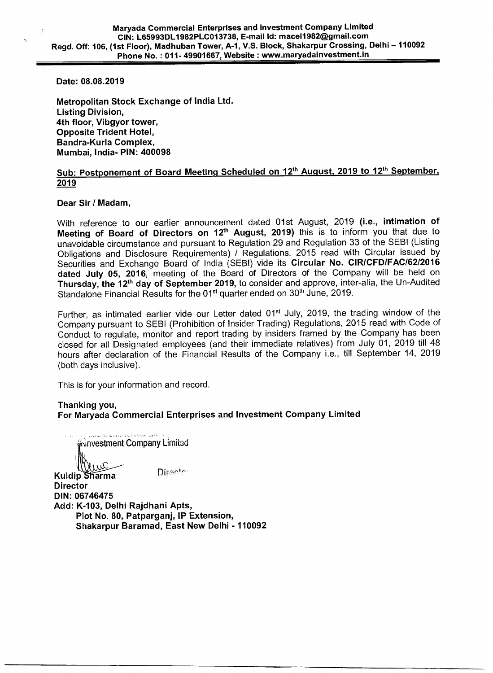**Date: 08.08.2019** 

**Metropolitan Stock Exchange of India Ltd. Listing Division, 4th floor, Vibgyor tower, Opposite Trident Hotel, Bandra-Kurla Complex, Mumbai, India- PIN: 400098** 

# Sub: Postponement of Board Meeting Scheduled on 12<sup>th</sup> August, 2019 to 12<sup>th</sup> September, **2019**

### **Dear Sir / Madam,**

With reference to our earlier announcement dated 01st August, 2019 **(i.e., intimation of Meeting of Board of Directors on 12<sup>th</sup> August, 2019)** this is to inform you that due to unavoidable circumstance and pursuant to Regulation 29 and Regulation 33 of the SEBI (Listing Obligations and Disclosure Requirements) / Regulations, 2015 read with Circular issued by Securities and Exchange Board of India (SEBI) vide its **Circular No. CIR/CFD/FAC/62/2016 dated July 05, 2016,** meeting of the Board of Directors of the Company will be held on Thursday, the 12<sup>th</sup> day of September 2019, to consider and approve, inter-alia, the Un-Audited Standalone Financial Results for the 01<sup>st</sup> quarter ended on 30<sup>th</sup> June, 2019.

Further, as intimated earlier vide our Letter dated 01<sup>st</sup> July, 2019, the trading window of the Company pursuant to SEBI (Prohibition of Insider Trading) Regulations, 2015 read with Code of Conduct to regulate, monitor and report trading by insiders framed by the Company has been closed for all Designated employees (and their immediate relatives) from July 01, 2019 till 48 hours after declaration of the Financial Results of the Company i.e., till September 14, 2019 (both days inclusive).

This is for your information and record.

## **Thanking you, For Maryada Commercial Enterprises and Investment Company Limited**

كالمدامنا والمحافظ والمتحدث investment Company Limited  $\Omega$ Diractor: **Kuldip Sharma Director DIN: 06746475 Add: K-103, Delhi Rajdhani Apts, Plot No. 80, Patparganj, IP Extension, Shakarpur Baramad, East New Delhi - 110092**